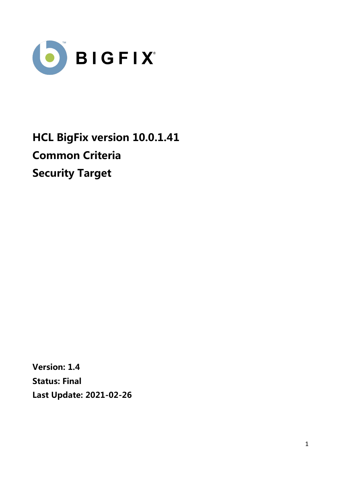

**HCL BigFix version 10.0.1.41 Common Criteria Security Target**

**Version: 1.4 Status: Final Last Update: 2021-02-26**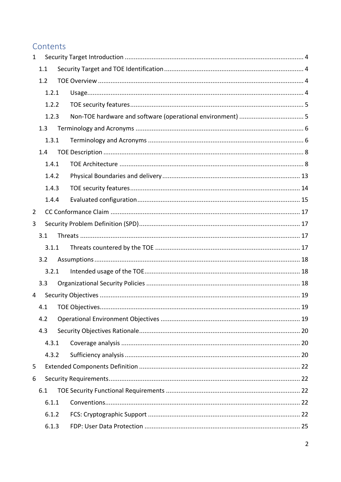# Contents

| $\mathbf{1}$ |       |       |  |
|--------------|-------|-------|--|
|              | 1.1   |       |  |
|              | 1.2   |       |  |
|              | 1.2.1 |       |  |
|              |       | 1.2.2 |  |
|              |       | 1.2.3 |  |
|              | 1.3   |       |  |
|              |       | 1.3.1 |  |
|              | 1.4   |       |  |
|              |       | 1.4.1 |  |
|              |       | 1.4.2 |  |
|              |       | 1.4.3 |  |
|              |       | 1.4.4 |  |
| 2            |       |       |  |
| 3            |       |       |  |
|              | 3.1   |       |  |
|              |       | 3.1.1 |  |
|              | 3.2   |       |  |
|              |       | 3.2.1 |  |
|              | 3.3   |       |  |
| 4            |       |       |  |
|              | 4.1   |       |  |
|              | 4.2   |       |  |
|              | 4.3   |       |  |
|              |       | 4.3.1 |  |
|              |       | 4.3.2 |  |
| 5            |       |       |  |
| 6            |       |       |  |
|              | 6.1   |       |  |
|              |       | 6.1.1 |  |
|              |       | 6.1.2 |  |
|              |       | 6.1.3 |  |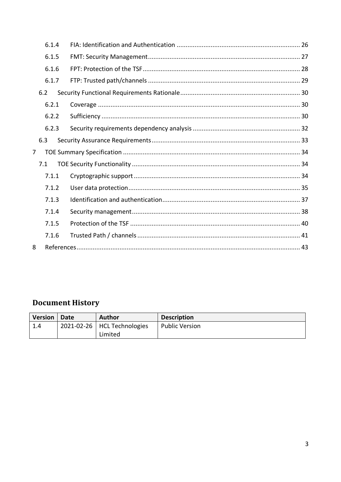|                | 6.1.4 |  |  |
|----------------|-------|--|--|
|                | 6.1.5 |  |  |
|                | 6.1.6 |  |  |
|                | 6.1.7 |  |  |
|                | 6.2   |  |  |
|                | 6.2.1 |  |  |
|                | 6.2.2 |  |  |
|                | 6.2.3 |  |  |
|                | 6.3   |  |  |
| $\overline{7}$ |       |  |  |
|                | 7.1   |  |  |
|                | 7.1.1 |  |  |
|                | 7.1.2 |  |  |
|                | 7.1.3 |  |  |
|                | 7.1.4 |  |  |
|                | 7.1.5 |  |  |
|                | 7.1.6 |  |  |
| 8              |       |  |  |

# **Document History**

| <b>Version</b> | Date | <b>Author</b>                 | <b>Description</b>    |
|----------------|------|-------------------------------|-----------------------|
| 1.4            |      | 2021-02-26   HCL Technologies | <b>Public Version</b> |
|                |      | Limited                       |                       |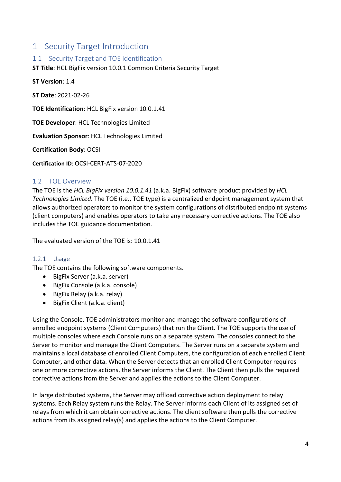# 1 Security Target Introduction

# 1.1 Security Target and TOE Identification

**ST Title**: HCL BigFix version 10.0.1 Common Criteria Security Target

**ST Version**: 1.4

**ST Date**: 2021-02-26

**TOE Identification**: HCL BigFix version 10.0.1.41

**TOE Developer**: HCL Technologies Limited

**Evaluation Sponsor**: HCL Technologies Limited

**Certification Body**: OCSI

**Certification ID**: OCSI-CERT-ATS-07-2020

#### 1.2 TOE Overview

The TOE is the *HCL BigFix version 10.0.1.41* (a.k.a. BigFix) software product provided by *HCL Technologies Limited*. The TOE (i.e., TOE type) is a centralized endpoint management system that allows authorized operators to monitor the system configurations of distributed endpoint systems (client computers) and enables operators to take any necessary corrective actions. The TOE also includes the TOE guidance documentation.

The evaluated version of the TOE is: 10.0.1.41

#### 1.2.1 Usage

The TOE contains the following software components.

- BigFix Server (a.k.a. server)
- BigFix Console (a.k.a. console)
- BigFix Relay (a.k.a. relay)
- BigFix Client (a.k.a. client)

Using the Console, TOE administrators monitor and manage the software configurations of enrolled endpoint systems (Client Computers) that run the Client. The TOE supports the use of multiple consoles where each Console runs on a separate system. The consoles connect to the Server to monitor and manage the Client Computers. The Server runs on a separate system and maintains a local database of enrolled Client Computers, the configuration of each enrolled Client Computer, and other data. When the Server detects that an enrolled Client Computer requires one or more corrective actions, the Server informs the Client. The Client then pulls the required corrective actions from the Server and applies the actions to the Client Computer.

In large distributed systems, the Server may offload corrective action deployment to relay systems. Each Relay system runs the Relay. The Server informs each Client of its assigned set of relays from which it can obtain corrective actions. The client software then pulls the corrective actions from its assigned relay(s) and applies the actions to the Client Computer.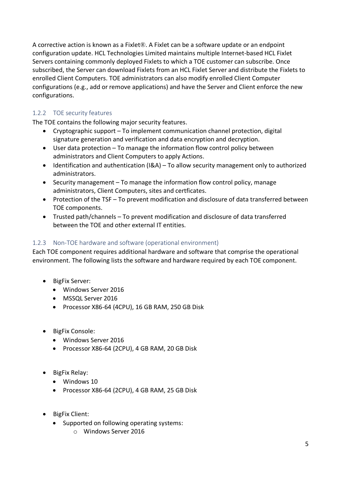A corrective action is known as a Fixlet®. A Fixlet can be a software update or an endpoint configuration update. HCL Technologies Limited maintains multiple Internet-based HCL Fixlet Servers containing commonly deployed Fixlets to which a TOE customer can subscribe. Once subscribed, the Server can download Fixlets from an HCL Fixlet Server and distribute the Fixlets to enrolled Client Computers. TOE administrators can also modify enrolled Client Computer configurations (e.g., add or remove applications) and have the Server and Client enforce the new configurations.

# 1.2.2 TOE security features

The TOE contains the following major security features.

- Cryptographic support To implement communication channel protection, digital signature generation and verification and data encryption and decryption.
- User data protection To manage the information flow control policy between administrators and Client Computers to apply Actions.
- Identification and authentication (I&A) To allow security management only to authorized administrators.
- Security management To manage the information flow control policy, manage administrators, Client Computers, sites and certficates.
- Protection of the TSF To prevent modification and disclosure of data transferred between TOE components.
- Trusted path/channels To prevent modification and disclosure of data transferred between the TOE and other external IT entities.

# 1.2.3 Non-TOE hardware and software (operational environment)

Each TOE component requires additional hardware and software that comprise the operational environment. The following lists the software and hardware required by each TOE component.

- BigFix Server:
	- Windows Server 2016
	- MSSQL Server 2016
	- Processor X86-64 (4CPU), 16 GB RAM, 250 GB Disk
- BigFix Console:
	- Windows Server 2016
	- Processor X86-64 (2CPU), 4 GB RAM, 20 GB Disk
- BigFix Relay:
	- Windows 10
	- Processor X86-64 (2CPU), 4 GB RAM, 25 GB Disk
- BigFix Client:
	- Supported on following operating systems:
		- o Windows Server 2016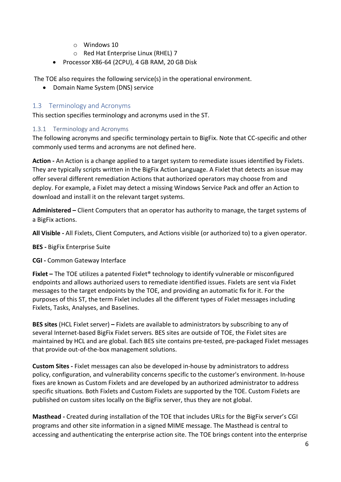- o Windows 10
- o Red Hat Enterprise Linux (RHEL) 7
- Processor X86-64 (2CPU), 4 GB RAM, 20 GB Disk

The TOE also requires the following service(s) in the operational environment.

• Domain Name System (DNS) service

# 1.3 Terminology and Acronyms

This section specifies terminology and acronyms used in the ST.

# 1.3.1 Terminology and Acronyms

The following acronyms and specific terminology pertain to BigFix. Note that CC-specific and other commonly used terms and acronyms are not defined here.

**Action -** An Action is a change applied to a target system to remediate issues identified by Fixlets. They are typically scripts written in the BigFix Action Language. A Fixlet that detects an issue may offer several different remediation Actions that authorized operators may choose from and deploy. For example, a Fixlet may detect a missing Windows Service Pack and offer an Action to download and install it on the relevant target systems.

**Administered –** Client Computers that an operator has authority to manage, the target systems of a BigFix actions.

**All Visible -** All Fixlets, Client Computers, and Actions visible (or authorized to) to a given operator.

**BES -** BigFix Enterprise Suite

#### **CGI -** Common Gateway Interface

**Fixlet** – The TOE utilizes a patented Fixlet<sup>®</sup> technology to identify vulnerable or misconfigured endpoints and allows authorized users to remediate identified issues. Fixlets are sent via Fixlet messages to the target endpoints by the TOE, and providing an automatic fix for it. For the purposes of this ST, the term Fixlet includes all the different types of Fixlet messages including Fixlets, Tasks, Analyses, and Baselines.

**BES sites** (HCL Fixlet server) **–** Fixlets are available to administrators by subscribing to any of several Internet-based BigFix Fixlet servers. BES sites are outside of TOE, the Fixlet sites are maintained by HCL and are global. Each BES site contains pre-tested, pre-packaged Fixlet messages that provide out-of-the-box management solutions.

**Custom Sites -** Fixlet messages can also be developed in-house by administrators to address policy, configuration, and vulnerability concerns specific to the customer's environment. In-house fixes are known as Custom Fixlets and are developed by an authorized administrator to address specific situations. Both Fixlets and Custom Fixlets are supported by the TOE. Custom Fixlets are published on custom sites locally on the BigFix server, thus they are not global.

**Masthead -** Created during installation of the TOE that includes URLs for the BigFix server's CGI programs and other site information in a signed MIME message. The Masthead is central to accessing and authenticating the enterprise action site. The TOE brings content into the enterprise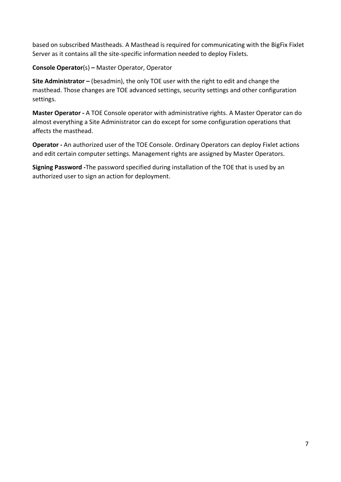based on subscribed Mastheads. A Masthead is required for communicating with the BigFix Fixlet Server as it contains all the site-specific information needed to deploy Fixlets.

**Console Operator**(s) **–** Master Operator, Operator

**Site Administrator –** (besadmin), the only TOE user with the right to edit and change the masthead. Those changes are TOE advanced settings, security settings and other configuration settings.

**Master Operator -** A TOE Console operator with administrative rights. A Master Operator can do almost everything a Site Administrator can do except for some configuration operations that affects the masthead.

**Operator -** An authorized user of the TOE Console. Ordinary Operators can deploy Fixlet actions and edit certain computer settings. Management rights are assigned by Master Operators.

**Signing Password -**The password specified during installation of the TOE that is used by an authorized user to sign an action for deployment.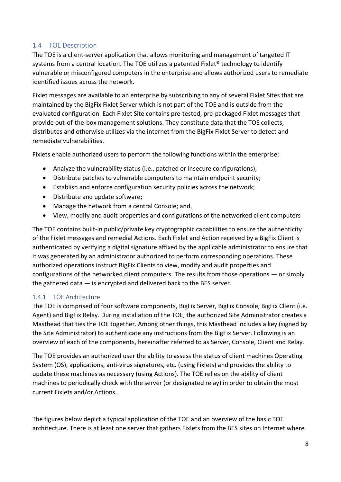# 1.4 TOE Description

The TOE is a client-server application that allows monitoring and management of targeted IT systems from a central location. The TOE utilizes a patented Fixlet® technology to identify vulnerable or misconfigured computers in the enterprise and allows authorized users to remediate identified issues across the network.

Fixlet messages are available to an enterprise by subscribing to any of several Fixlet Sites that are maintained by the BigFix Fixlet Server which is not part of the TOE and is outside from the evaluated configuration. Each Fixlet Site contains pre-tested, pre-packaged Fixlet messages that provide out-of-the-box management solutions. They constitute data that the TOE collects, distributes and otherwise utilizes via the internet from the BigFix Fixlet Server to detect and remediate vulnerabilities.

Fixlets enable authorized users to perform the following functions within the enterprise:

- Analyze the vulnerability status (i.e., patched or insecure configurations);
- Distribute patches to vulnerable computers to maintain endpoint security;
- Establish and enforce configuration security policies across the network;
- Distribute and update software;
- Manage the network from a central Console; and,
- View, modify and audit properties and configurations of the networked client computers

The TOE contains built-in public/private key cryptographic capabilities to ensure the authenticity of the Fixlet messages and remedial Actions. Each Fixlet and Action received by a BigFix Client is authenticated by verifying a digital signature affixed by the applicable administrator to ensure that it was generated by an administrator authorized to perform corresponding operations. These authorized operations instruct BigFix Clients to view, modify and audit properties and configurations of the networked client computers. The results from those operations — or simply the gathered data — is encrypted and delivered back to the BES server.

# 1.4.1 TOE Architecture

The TOE is comprised of four software components, BigFix Server, BigFix Console, BigFix Client (i.e. Agent) and BigFix Relay. During installation of the TOE, the authorized Site Administrator creates a Masthead that ties the TOE together. Among other things, this Masthead includes a key (signed by the Site Administrator) to authenticate any instructions from the BigFix Server. Following is an overview of each of the components, hereinafter referred to as Server, Console, Client and Relay.

The TOE provides an authorized user the ability to assess the status of client machines Operating System (OS), applications, anti-virus signatures, etc. (using Fixlets) and provides the ability to update these machines as necessary (using Actions). The TOE relies on the ability of client machines to periodically check with the server (or designated relay) in order to obtain the most current Fixlets and/or Actions.

The figures below depict a typical application of the TOE and an overview of the basic TOE architecture. There is at least one server that gathers Fixlets from the BES sites on Internet where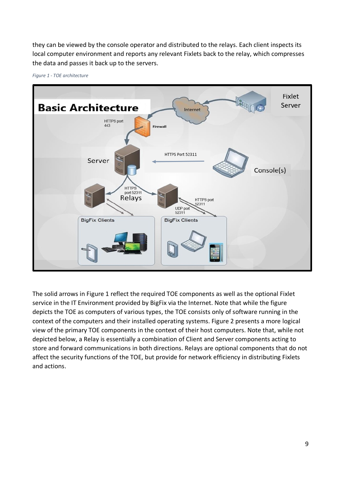they can be viewed by the console operator and distributed to the relays. Each client inspects its local computer environment and reports any relevant Fixlets back to the relay, which compresses the data and passes it back up to the servers.



*Figure 1 - TOE architecture*

The solid arrows in Figure 1 reflect the required TOE components as well as the optional Fixlet service in the IT Environment provided by BigFix via the Internet. Note that while the figure depicts the TOE as computers of various types, the TOE consists only of software running in the context of the computers and their installed operating systems. Figure 2 presents a more logical view of the primary TOE components in the context of their host computers. Note that, while not depicted below, a Relay is essentially a combination of Client and Server components acting to store and forward communications in both directions. Relays are optional components that do not affect the security functions of the TOE, but provide for network efficiency in distributing Fixlets and actions.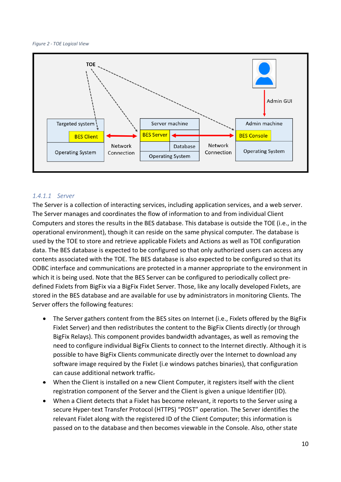*Figure 2 - TOE Logical View*



#### *1.4.1.1 Server*

The Server is a collection of interacting services, including application services, and a web server. The Server manages and coordinates the flow of information to and from individual Client Computers and stores the results in the BES database. This database is outside the TOE (i.e., in the operational environment), though it can reside on the same physical computer. The database is used by the TOE to store and retrieve applicable Fixlets and Actions as well as TOE configuration data. The BES database is expected to be configured so that only authorized users can access any contents associated with the TOE. The BES database is also expected to be configured so that its ODBC interface and communications are protected in a manner appropriate to the environment in which it is being used. Note that the BES Server can be configured to periodically collect predefined Fixlets from BigFix via a BigFix Fixlet Server. Those, like any locally developed Fixlets, are stored in the BES database and are available for use by administrators in monitoring Clients. The Server offers the following features:

- The Server gathers content from the BES sites on Internet (i.e., Fixlets offered by the BigFix Fixlet Server) and then redistributes the content to the BigFix Clients directly (or through BigFix Relays). This component provides bandwidth advantages, as well as removing the need to configure individual BigFix Clients to connect to the Internet directly. Although it is possible to have BigFix Clients communicate directly over the Internet to download any software image required by the Fixlet (i.e windows patches binaries), that configuration can cause additional network traffic.
- When the Client is installed on a new Client Computer, it registers itself with the client registration component of the Server and the Client is given a unique Identifier (ID).
- When a Client detects that a Fixlet has become relevant, it reports to the Server using a secure Hyper-text Transfer Protocol (HTTPS) "POST" operation. The Server identifies the relevant Fixlet along with the registered ID of the Client Computer; this information is passed on to the database and then becomes viewable in the Console. Also, other state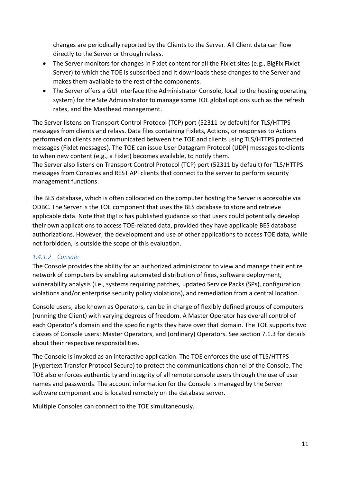changes are periodically reported by the Clients to the Server. All Client data can flow directly to the Server or through relays.

- The Server monitors for changes in Fixlet content for all the Fixlet sites (e.g., BigFix Fixlet Server) to which the TOE is subscribed and it downloads these changes to the Server and makes them available to the rest of the components.
- The Server offers a GUI interface (the Administrator Console, local to the hosting operating system) for the Site Administrator to manage some TOE global options such as the refresh rates, and the Masthead management.

The Server listens on Transport Control Protocol (TCP) port (52311 by default) for TLS/HTTPS messages from clients and relays. Data files containing Fixlets, Actions, or responses to Actions performed on clients are communicated between the TOE and clients using TLS/HTTPS protected messages (Fixlet messages). The TOE can issue User Datagram Protocol (UDP) messages to clients to when new content (e.g., a Fixlet) becomes available, to notify them.

The Server also listens on Transport Control Protocol (TCP) port (52311 by default) for TLS/HTTPS messages from Consoles and REST API clients that connect to the server to perform security management functions.

The BES database, which is often collocated on the computer hosting the Server is accessible via ODBC. The Server is the TOE component that uses the BES database to store and retrieve applicable data. Note that BigFix has published guidance so that users could potentially develop their own applications to access TOE-related data, provided they have applicable BES database authorizations. However, the development and use of other applications to access TOE data, while not forbidden, is outside the scope of this evaluation.

# *1.4.1.2 Console*

The Console provides the ability for an authorized administrator to view and manage their entire network of computers by enabling automated distribution of fixes, software deployment, vulnerability analysis (i.e., systems requiring patches, updated Service Packs (SPs), configuration violations and/or enterprise security policy violations), and remediation from a central location.

Console users, also known as Operators, can be in charge of flexibly defined groups of computers (running the Client) with varying degrees of freedom. A Master Operator has overall control of each Operator's domain and the specific rights they have over that domain. The TOE supports two classes of Console users: Master Operators, and (ordinary) Operators. See section 7.1.3 for details about their respective responsibilities.

The Console is invoked as an interactive application. The TOE enforces the use of TLS/HTTPS (Hypertext Transfer Protocol Secure) to protect the communications channel of the Console. The TOE also enforces authenticity and integrity of all remote console users through the use of user names and passwords. The account information for the Console is managed by the Server software component and is located remotely on the database server.

Multiple Consoles can connect to the TOE simultaneously.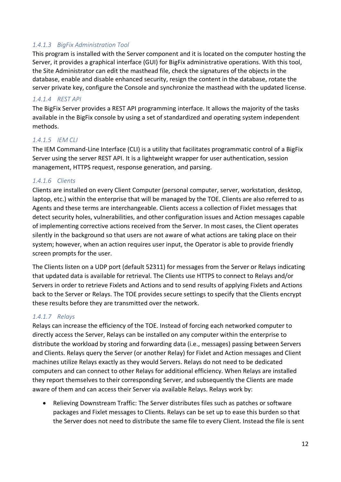# *1.4.1.3 BigFix Administration Tool*

This program is installed with the Server component and it is located on the computer hosting the Server, it provides a graphical interface (GUI) for BigFix administrative operations. With this tool, the Site Administrator can edit the masthead file, check the signatures of the objects in the database, enable and disable enhanced security, resign the content in the database, rotate the server private key, configure the Console and synchronize the masthead with the updated license.

#### *1.4.1.4 REST API*

The BigFix Server provides a REST API programming interface. It allows the majority of the tasks available in the BigFix console by using a set of standardized and operating system independent methods.

#### *1.4.1.5 IEM CLI*

The IEM Command-Line Interface (CLI) is a utility that facilitates programmatic control of a BigFix Server using the server REST API. It is a lightweight wrapper for user authentication, session management, HTTPS request, response generation, and parsing.

#### *1.4.1.6 Clients*

Clients are installed on every Client Computer (personal computer, server, workstation, desktop, laptop, etc.) within the enterprise that will be managed by the TOE. Clients are also referred to as Agents and these terms are interchangeable. Clients access a collection of Fixlet messages that detect security holes, vulnerabilities, and other configuration issues and Action messages capable of implementing corrective actions received from the Server. In most cases, the Client operates silently in the background so that users are not aware of what actions are taking place on their system; however, when an action requires user input, the Operator is able to provide friendly screen prompts for the user.

The Clients listen on a UDP port (default 52311) for messages from the Server or Relays indicating that updated data is available for retrieval. The Clients use HTTPS to connect to Relays and/or Servers in order to retrieve Fixlets and Actions and to send results of applying Fixlets and Actions back to the Server or Relays. The TOE provides secure settings to specify that the Clients encrypt these results before they are transmitted over the network.

#### *1.4.1.7 Relays*

Relays can increase the efficiency of the TOE. Instead of forcing each networked computer to directly access the Server, Relays can be installed on any computer within the enterprise to distribute the workload by storing and forwarding data (i.e., messages) passing between Servers and Clients. Relays query the Server (or another Relay) for Fixlet and Action messages and Client machines utilize Relays exactly as they would Servers. Relays do not need to be dedicated computers and can connect to other Relays for additional efficiency. When Relays are installed they report themselves to their corresponding Server, and subsequently the Clients are made aware of them and can access their Server via available Relays. Relays work by:

• Relieving Downstream Traffic: The Server distributes files such as patches or software packages and Fixlet messages to Clients. Relays can be set up to ease this burden so that the Server does not need to distribute the same file to every Client. Instead the file is sent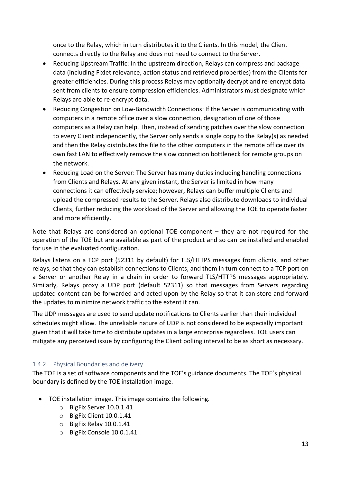once to the Relay, which in turn distributes it to the Clients. In this model, the Client connects directly to the Relay and does not need to connect to the Server.

- Reducing Upstream Traffic: In the upstream direction, Relays can compress and package data (including Fixlet relevance, action status and retrieved properties) from the Clients for greater efficiencies. During this process Relays may optionally decrypt and re-encrypt data sent from clients to ensure compression efficiencies. Administrators must designate which Relays are able to re-encrypt data.
- Reducing Congestion on Low-Bandwidth Connections: If the Server is communicating with computers in a remote office over a slow connection, designation of one of those computers as a Relay can help. Then, instead of sending patches over the slow connection to every Client independently, the Server only sends a single copy to the Relay(s) as needed and then the Relay distributes the file to the other computers in the remote office over its own fast LAN to effectively remove the slow connection bottleneck for remote groups on the network.
- Reducing Load on the Server: The Server has many duties including handling connections from Clients and Relays. At any given instant, the Server is limited in how many connections it can effectively service; however, Relays can buffer multiple Clients and upload the compressed results to the Server. Relays also distribute downloads to individual Clients, further reducing the workload of the Server and allowing the TOE to operate faster and more efficiently.

Note that Relays are considered an optional TOE component – they are not required for the operation of the TOE but are available as part of the product and so can be installed and enabled for use in the evaluated configuration.

Relays listens on a TCP port (52311 by default) for TLS/HTTPS messages from clients, and other relays, so that they can establish connections to Clients, and them in turn connect to a TCP port on a Server or another Relay in a chain in order to forward TLS/HTTPS messages appropriately. Similarly, Relays proxy a UDP port (default 52311) so that messages from Servers regarding updated content can be forwarded and acted upon by the Relay so that it can store and forward the updates to minimize network traffic to the extent it can.

The UDP messages are used to send update notifications to Clients earlier than their individual schedules might allow. The unreliable nature of UDP is not considered to be especially important given that it will take time to distribute updates in a large enterprise regardless. TOE users can mitigate any perceived issue by configuring the Client polling interval to be as short as necessary.

# 1.4.2 Physical Boundaries and delivery

The TOE is a set of software components and the TOE's guidance documents. The TOE's physical boundary is defined by the TOE installation image.

- TOE installation image. This image contains the following.
	- o BigFix Server 10.0.1.41
	- o BigFix Client 10.0.1.41
	- o BigFix Relay 10.0.1.41
	- o BigFix Console 10.0.1.41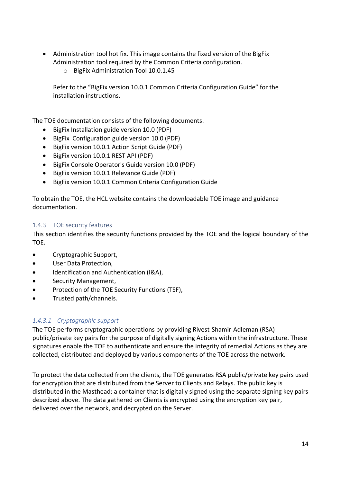- Administration tool hot fix. This image contains the fixed version of the BigFix Administration tool required by the Common Criteria configuration.
	- o BigFix Administration Tool 10.0.1.45

Refer to the "BigFix version 10.0.1 Common Criteria Configuration Guide" for the installation instructions.

The TOE documentation consists of the following documents.

- BigFix Installation guide version 10.0 (PDF)
- BigFix Configuration guide version 10.0 (PDF)
- BigFix version 10.0.1 Action Script Guide (PDF)
- BigFix version 10.0.1 REST API (PDF)
- BigFix Console Operator's Guide version 10.0 (PDF)
- BigFix version 10.0.1 Relevance Guide (PDF)
- BigFix version 10.0.1 Common Criteria Configuration Guide

To obtain the TOE, the HCL website contains the downloadable TOE image and guidance documentation.

# 1.4.3 TOE security features

This section identifies the security functions provided by the TOE and the logical boundary of the TOE.

- Cryptographic Support,
- User Data Protection,
- Identification and Authentication (I&A),
- Security Management,
- Protection of the TOE Security Functions (TSF),
- Trusted path/channels.

# *1.4.3.1 Cryptographic support*

The TOE performs cryptographic operations by providing Rivest-Shamir-Adleman (RSA) public/private key pairs for the purpose of digitally signing Actions within the infrastructure. These signatures enable the TOE to authenticate and ensure the integrity of remedial Actions as they are collected, distributed and deployed by various components of the TOE across the network.

To protect the data collected from the clients, the TOE generates RSA public/private key pairs used for encryption that are distributed from the Server to Clients and Relays. The public key is distributed in the Masthead: a container that is digitally signed using the separate signing key pairs described above. The data gathered on Clients is encrypted using the encryption key pair, delivered over the network, and decrypted on the Server.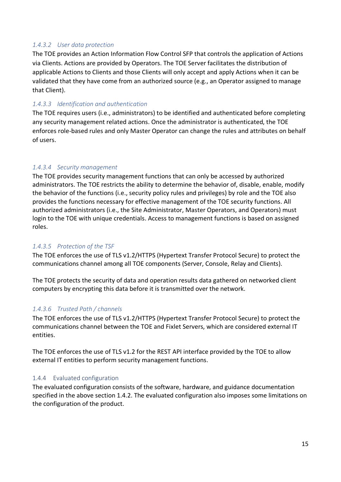# *1.4.3.2 User data protection*

The TOE provides an Action Information Flow Control SFP that controls the application of Actions via Clients. Actions are provided by Operators. The TOE Server facilitates the distribution of applicable Actions to Clients and those Clients will only accept and apply Actions when it can be validated that they have come from an authorized source (e.g., an Operator assigned to manage that Client).

# *1.4.3.3 Identification and authentication*

The TOE requires users (i.e., administrators) to be identified and authenticated before completing any security management related actions. Once the administrator is authenticated, the TOE enforces role-based rules and only Master Operator can change the rules and attributes on behalf of users.

# *1.4.3.4 Security management*

The TOE provides security management functions that can only be accessed by authorized administrators. The TOE restricts the ability to determine the behavior of, disable, enable, modify the behavior of the functions (i.e., security policy rules and privileges) by role and the TOE also provides the functions necessary for effective management of the TOE security functions. All authorized administrators (i.e., the Site Administrator, Master Operators, and Operators) must login to the TOE with unique credentials. Access to management functions is based on assigned roles.

# *1.4.3.5 Protection of the TSF*

The TOE enforces the use of TLS v1.2/HTTPS (Hypertext Transfer Protocol Secure) to protect the communications channel among all TOE components (Server, Console, Relay and Clients).

The TOE protects the security of data and operation results data gathered on networked client computers by encrypting this data before it is transmitted over the network.

# *1.4.3.6 Trusted Path / channels*

The TOE enforces the use of TLS v1.2/HTTPS (Hypertext Transfer Protocol Secure) to protect the communications channel between the TOE and Fixlet Servers, which are considered external IT entities.

The TOE enforces the use of TLS v1.2 for the REST API interface provided by the TOE to allow external IT entities to perform security management functions.

#### 1.4.4 Evaluated configuration

The evaluated configuration consists of the software, hardware, and guidance documentation specified in the above section 1.4.2. The evaluated configuration also imposes some limitations on the configuration of the product.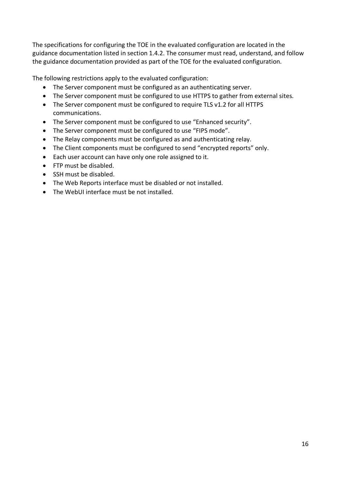The specifications for configuring the TOE in the evaluated configuration are located in the guidance documentation listed in section 1.4.2. The consumer must read, understand, and follow the guidance documentation provided as part of the TOE for the evaluated configuration.

The following restrictions apply to the evaluated configuration:

- The Server component must be configured as an authenticating server.
- The Server component must be configured to use HTTPS to gather from external sites.
- The Server component must be configured to require TLS v1.2 for all HTTPS communications.
- The Server component must be configured to use "Enhanced security".
- The Server component must be configured to use "FIPS mode".
- The Relay components must be configured as and authenticating relay.
- The Client components must be configured to send "encrypted reports" only.
- Each user account can have only one role assigned to it.
- FTP must be disabled.
- SSH must be disabled.
- The Web Reports interface must be disabled or not installed.
- The WebUI interface must be not installed.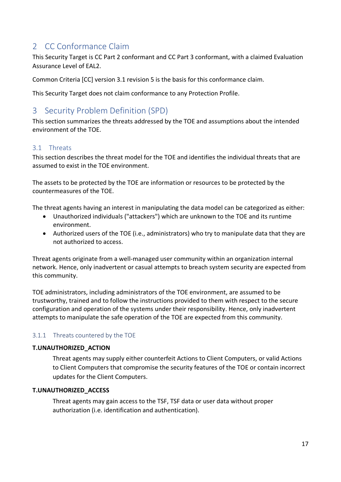# 2 CC Conformance Claim

This Security Target is CC Part 2 conformant and CC Part 3 conformant, with a claimed Evaluation Assurance Level of EAL2.

Common Criteria [CC] version 3.1 revision 5 is the basis for this conformance claim.

This Security Target does not claim conformance to any Protection Profile.

# 3 Security Problem Definition (SPD)

This section summarizes the threats addressed by the TOE and assumptions about the intended environment of the TOE.

# 3.1 Threats

This section describes the threat model for the TOE and identifies the individual threats that are assumed to exist in the TOE environment.

The assets to be protected by the TOE are information or resources to be protected by the countermeasures of the TOE.

The threat agents having an interest in manipulating the data model can be categorized as either:

- Unauthorized individuals ("attackers") which are unknown to the TOE and its runtime environment.
- Authorized users of the TOE (i.e., administrators) who try to manipulate data that they are not authorized to access.

Threat agents originate from a well-managed user community within an organization internal network. Hence, only inadvertent or casual attempts to breach system security are expected from this community.

TOE administrators, including administrators of the TOE environment, are assumed to be trustworthy, trained and to follow the instructions provided to them with respect to the secure configuration and operation of the systems under their responsibility. Hence, only inadvertent attempts to manipulate the safe operation of the TOE are expected from this community.

# 3.1.1 Threats countered by the TOE

#### **T.UNAUTHORIZED\_ACTION**

Threat agents may supply either counterfeit Actions to Client Computers, or valid Actions to Client Computers that compromise the security features of the TOE or contain incorrect updates for the Client Computers.

#### **T.UNAUTHORIZED\_ACCESS**

Threat agents may gain access to the TSF, TSF data or user data without proper authorization (i.e. identification and authentication).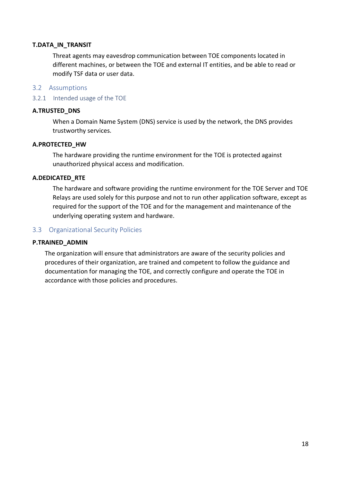#### **T.DATA\_IN\_TRANSIT**

Threat agents may eavesdrop communication between TOE components located in different machines, or between the TOE and external IT entities, and be able to read or modify TSF data or user data.

#### 3.2 Assumptions

#### 3.2.1 Intended usage of the TOE

#### **A.TRUSTED\_DNS**

When a Domain Name System (DNS) service is used by the network, the DNS provides trustworthy services.

#### **A.PROTECTED\_HW**

The hardware providing the runtime environment for the TOE is protected against unauthorized physical access and modification.

#### **A.DEDICATED\_RTE**

The hardware and software providing the runtime environment for the TOE Server and TOE Relays are used solely for this purpose and not to run other application software, except as required for the support of the TOE and for the management and maintenance of the underlying operating system and hardware.

#### 3.3 Organizational Security Policies

#### **P.TRAINED\_ADMIN**

The organization will ensure that administrators are aware of the security policies and procedures of their organization, are trained and competent to follow the guidance and documentation for managing the TOE, and correctly configure and operate the TOE in accordance with those policies and procedures.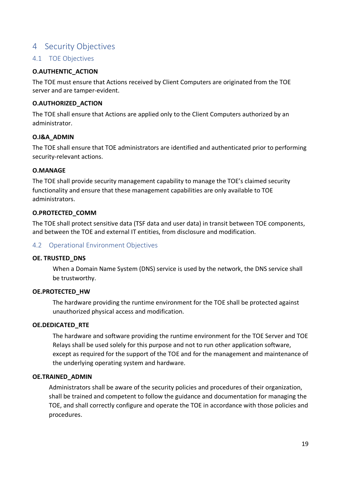# 4 Security Objectives

# 4.1 TOE Objectives

#### **O.AUTHENTIC\_ACTION**

The TOE must ensure that Actions received by Client Computers are originated from the TOE server and are tamper-evident.

#### **O.AUTHORIZED\_ACTION**

The TOE shall ensure that Actions are applied only to the Client Computers authorized by an administrator.

# **O.I&A\_ADMIN**

The TOE shall ensure that TOE administrators are identified and authenticated prior to performing security-relevant actions.

#### **O.MANAGE**

The TOE shall provide security management capability to manage the TOE's claimed security functionality and ensure that these management capabilities are only available to TOE administrators.

#### **O.PROTECTED\_COMM**

The TOE shall protect sensitive data (TSF data and user data) in transit between TOE components, and between the TOE and external IT entities, from disclosure and modification.

# 4.2 Operational Environment Objectives

#### **OE. TRUSTED\_DNS**

When a Domain Name System (DNS) service is used by the network, the DNS service shall be trustworthy.

#### **OE.PROTECTED\_HW**

The hardware providing the runtime environment for the TOE shall be protected against unauthorized physical access and modification.

#### **OE.DEDICATED\_RTE**

The hardware and software providing the runtime environment for the TOE Server and TOE Relays shall be used solely for this purpose and not to run other application software, except as required for the support of the TOE and for the management and maintenance of the underlying operating system and hardware.

#### **OE.TRAINED\_ADMIN**

Administrators shall be aware of the security policies and procedures of their organization, shall be trained and competent to follow the guidance and documentation for managing the TOE, and shall correctly configure and operate the TOE in accordance with those policies and procedures.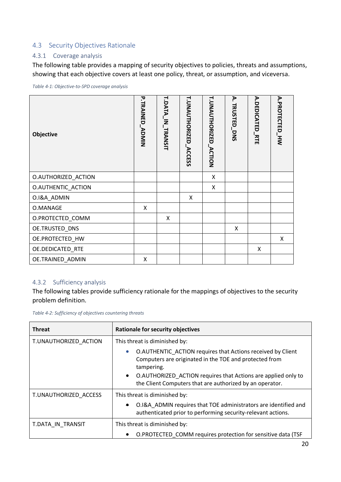# 4.3 Security Objectives Rationale

#### 4.3.1 Coverage analysis

The following table provides a mapping of security objectives to policies, threats and assumptions, showing that each objective covers at least one policy, threat, or assumption, and viceversa.

*Table 4-1: Objective-to-SPD coverage analysis*

| Objective           | <b>P.TRAINED_ADMIN</b> | <b>T.DATA_IN_TRANSIT</b> | <b>T.UNAUTHORIZED_ACCESS</b> | <b>T.UNAUTHORIZED_ACTION</b> | Ā.<br>TRUSTED_DNS | A.DEDICATED_RTE | A.PROTECTED_HW |
|---------------------|------------------------|--------------------------|------------------------------|------------------------------|-------------------|-----------------|----------------|
| O.AUTHORIZED_ACTION |                        |                          |                              | Χ                            |                   |                 |                |
| O.AUTHENTIC_ACTION  |                        |                          |                              | X                            |                   |                 |                |
| O.I&A_ADMIN         |                        |                          | X                            |                              |                   |                 |                |
| O.MANAGE            | X                      |                          |                              |                              |                   |                 |                |
| O.PROTECTED_COMM    |                        | X                        |                              |                              |                   |                 |                |
| OE.TRUSTED_DNS      |                        |                          |                              |                              | X                 |                 |                |
| OE.PROTECTED_HW     |                        |                          |                              |                              |                   |                 | X              |
| OE.DEDICATED_RTE    |                        |                          |                              |                              |                   | X               |                |
| OE.TRAINED_ADMIN    | X                      |                          |                              |                              |                   |                 |                |

#### 4.3.2 Sufficiency analysis

The following tables provide sufficiency rationale for the mappings of objectives to the security problem definition.

*Table 4-2: Sufficiency of objectives countering threats*

| <b>Threat</b>         | <b>Rationale for security objectives</b>                                                                                                                                                                                                                                                   |  |  |  |
|-----------------------|--------------------------------------------------------------------------------------------------------------------------------------------------------------------------------------------------------------------------------------------------------------------------------------------|--|--|--|
| T.UNAUTHORIZED ACTION | This threat is diminished by:                                                                                                                                                                                                                                                              |  |  |  |
|                       | O.AUTHENTIC_ACTION requires that Actions received by Client<br>$\bullet$<br>Computers are originated in the TOE and protected from<br>tampering.<br>O.AUTHORIZED ACTION requires that Actions are applied only to<br>$\bullet$<br>the Client Computers that are authorized by an operator. |  |  |  |
| T.UNAUTHORIZED ACCESS | This threat is diminished by:                                                                                                                                                                                                                                                              |  |  |  |
|                       | O.I&A ADMIN requires that TOE administrators are identified and<br>authenticated prior to performing security-relevant actions.                                                                                                                                                            |  |  |  |
| T.DATA IN TRANSIT     | This threat is diminished by:                                                                                                                                                                                                                                                              |  |  |  |
|                       | O.PROTECTED_COMM requires protection for sensitive data (TSF                                                                                                                                                                                                                               |  |  |  |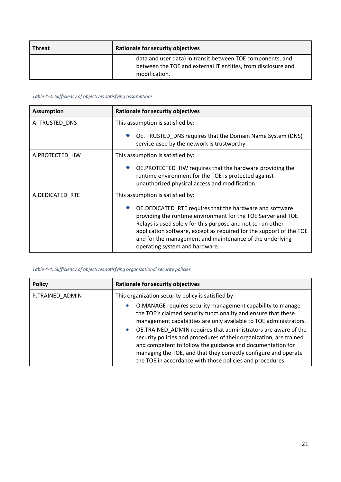| <b>Threat</b> | <b>Rationale for security objectives</b>                                                                                                     |
|---------------|----------------------------------------------------------------------------------------------------------------------------------------------|
|               | data and user data) in transit between TOE components, and<br>between the TOE and external IT entities, from disclosure and<br>modification. |

#### *Table 4-3: Sufficiency of objectives satisfying assumptions*

| <b>Assumption</b> | Rationale for security objectives                                                                                                                                                                                                                                                                                                                             |  |  |  |
|-------------------|---------------------------------------------------------------------------------------------------------------------------------------------------------------------------------------------------------------------------------------------------------------------------------------------------------------------------------------------------------------|--|--|--|
| A. TRUSTED_DNS    | This assumption is satisfied by:                                                                                                                                                                                                                                                                                                                              |  |  |  |
|                   | OE. TRUSTED_DNS requires that the Domain Name System (DNS)<br>service used by the network is trustworthy.                                                                                                                                                                                                                                                     |  |  |  |
| A.PROTECTED_HW    | This assumption is satisfied by:                                                                                                                                                                                                                                                                                                                              |  |  |  |
|                   | OE.PROTECTED_HW requires that the hardware providing the<br>runtime environment for the TOE is protected against<br>unauthorized physical access and modification.                                                                                                                                                                                            |  |  |  |
| A.DEDICATED_RTE   | This assumption is satisfied by:                                                                                                                                                                                                                                                                                                                              |  |  |  |
|                   | OE. DEDICATED_RTE requires that the hardware and software<br>providing the runtime environment for the TOE Server and TOE<br>Relays is used solely for this purpose and not to run other<br>application software, except as required for the support of the TOE<br>and for the management and maintenance of the underlying<br>operating system and hardware. |  |  |  |

#### *Table 4-4: Sufficiency of objectives satisfying organizational security policies*

| <b>Policy</b>   | <b>Rationale for security objectives</b>                                                                                                                                                                                                                                                                                                                                                                                                                                                                                                                           |  |  |  |
|-----------------|--------------------------------------------------------------------------------------------------------------------------------------------------------------------------------------------------------------------------------------------------------------------------------------------------------------------------------------------------------------------------------------------------------------------------------------------------------------------------------------------------------------------------------------------------------------------|--|--|--|
| P.TRAINED ADMIN | This organization security policy is satisfied by:                                                                                                                                                                                                                                                                                                                                                                                                                                                                                                                 |  |  |  |
|                 | O.MANAGE requires security management capability to manage<br>$\bullet$<br>the TOE's claimed security functionality and ensure that these<br>management capabilities are only available to TOE administrators.<br>OE.TRAINED_ADMIN requires that administrators are aware of the<br>$\bullet$<br>security policies and procedures of their organization, are trained<br>and competent to follow the guidance and documentation for<br>managing the TOE, and that they correctly configure and operate<br>the TOE in accordance with those policies and procedures. |  |  |  |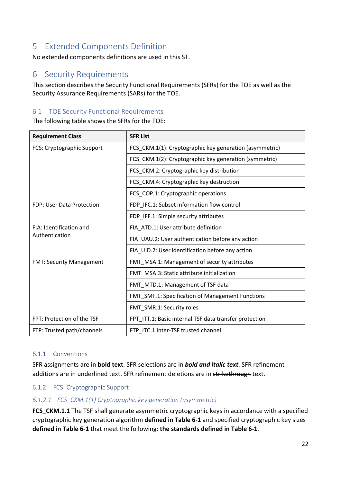# 5 Extended Components Definition

No extended components definitions are used in this ST.

# 6 Security Requirements

This section describes the Security Functional Requirements (SFRs) for the TOE as well as the Security Assurance Requirements (SARs) for the TOE.

# 6.1 TOE Security Functional Requirements

The following table shows the SFRs for the TOE:

| <b>Requirement Class</b>        | <b>SFR List</b>                                         |  |  |
|---------------------------------|---------------------------------------------------------|--|--|
| FCS: Cryptographic Support      | FCS_CKM.1(1): Cryptographic key generation (asymmetric) |  |  |
|                                 | FCS_CKM.1(2): Cryptographic key generation (symmetric)  |  |  |
|                                 | FCS_CKM.2: Cryptographic key distribution               |  |  |
|                                 | FCS_CKM.4: Cryptographic key destruction                |  |  |
|                                 | FCS_COP.1: Cryptographic operations                     |  |  |
| FDP: User Data Protection       | FDP_IFC.1: Subset information flow control              |  |  |
|                                 | FDP_IFF.1: Simple security attributes                   |  |  |
| FIA: Identification and         | FIA_ATD.1: User attribute definition                    |  |  |
| Authentication                  | FIA_UAU.2: User authentication before any action        |  |  |
|                                 | FIA_UID.2: User identification before any action        |  |  |
| <b>FMT: Security Management</b> | FMT_MSA.1: Management of security attributes            |  |  |
|                                 | FMT_MSA.3: Static attribute initialization              |  |  |
|                                 | FMT_MTD.1: Management of TSF data                       |  |  |
|                                 | FMT_SMF.1: Specification of Management Functions        |  |  |
|                                 | FMT_SMR.1: Security roles                               |  |  |
| FPT: Protection of the TSF      | FPT_ITT.1: Basic internal TSF data transfer protection  |  |  |
| FTP: Trusted path/channels      | FTP_ITC.1 Inter-TSF trusted channel                     |  |  |

#### 6.1.1 Conventions

SFR assignments are in **bold text**. SFR selections are in *bold and italic text*. SFR refinement additions are in underlined text. SFR refinement deletions are in strikethrough text.

#### 6.1.2 FCS: Cryptographic Support

#### *6.1.2.1 FCS\_CKM.1(1) Cryptographic key generation (asymmetric)*

FCS CKM.1.1 The TSF shall generate asymmetric cryptographic keys in accordance with a specified cryptographic key generation algorithm **defined in Table 6-1** and specified cryptographic key sizes **defined in Table 6-1** that meet the following: **the standards defined in Table 6-1**.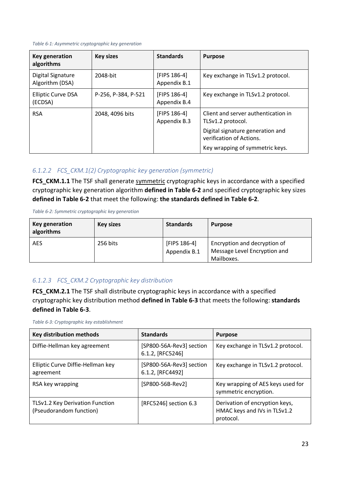#### *Table 6-1: Asymmetric cryptographic key generation*

| Key generation<br>algorithms         | <b>Key sizes</b>    | <b>Standards</b>             | <b>Purpose</b>                                               |
|--------------------------------------|---------------------|------------------------------|--------------------------------------------------------------|
| Digital Signature<br>Algorithm (DSA) | 2048-bit            | [FIPS 186-4]<br>Appendix B.1 | Key exchange in TLSv1.2 protocol.                            |
| <b>Elliptic Curve DSA</b><br>(ECDSA) | P-256, P-384, P-521 | [FIPS 186-4]<br>Appendix B.4 | Key exchange in TLSv1.2 protocol.                            |
| <b>RSA</b>                           | 2048, 4096 bits     | [FIPS 186-4]<br>Appendix B.3 | Client and server authentication in<br>TLSv1.2 protocol.     |
|                                      |                     |                              | Digital signature generation and<br>verification of Actions. |
|                                      |                     |                              | Key wrapping of symmetric keys.                              |

#### *6.1.2.2 FCS\_CKM.1(2) Cryptographic key generation (symmetric)*

**FCS CKM.1.1** The TSF shall generate symmetric cryptographic keys in accordance with a specified cryptographic key generation algorithm **defined in Table 6-2** and specified cryptographic key sizes **defined in Table 6-2** that meet the following: **the standards defined in Table 6-2**.

*Table 6-2: Symmetric cryptographic key generation*

| Key generation<br>algorithms | <b>Key sizes</b> | <b>Standards</b>             | <b>Purpose</b>                                                             |
|------------------------------|------------------|------------------------------|----------------------------------------------------------------------------|
| <b>AES</b>                   | 256 bits         | [FIPS 186-4]<br>Appendix B.1 | Encryption and decryption of<br>Message Level Encryption and<br>Mailboxes. |

#### *6.1.2.3 FCS\_CKM.2 Cryptographic key distribution*

FCS CKM.2.1 The TSF shall distribute cryptographic keys in accordance with a specified cryptographic key distribution method **defined in Table 6-3** that meets the following: **standards defined in Table 6-3**.

*Table 6-3: Cryptographic key establishment*

| Key distribution methods                                   | <b>Standards</b>                             | <b>Purpose</b>                                                              |
|------------------------------------------------------------|----------------------------------------------|-----------------------------------------------------------------------------|
| Diffie-Hellman key agreement                               | [SP800-56A-Rev3] section<br>6.1.2, [RFC5246] | Key exchange in TLSv1.2 protocol.                                           |
| Elliptic Curve Diffie-Hellman key<br>agreement             | [SP800-56A-Rev3] section<br>6.1.2, [RFC4492] | Key exchange in TLSv1.2 protocol.                                           |
| RSA key wrapping                                           | [SP800-56B-Rev2]                             | Key wrapping of AES keys used for<br>symmetric encryption.                  |
| TLSv1.2 Key Derivation Function<br>(Pseudorandom function) | [RFC5246] section 6.3                        | Derivation of encryption keys,<br>HMAC keys and IVs in TLSv1.2<br>protocol. |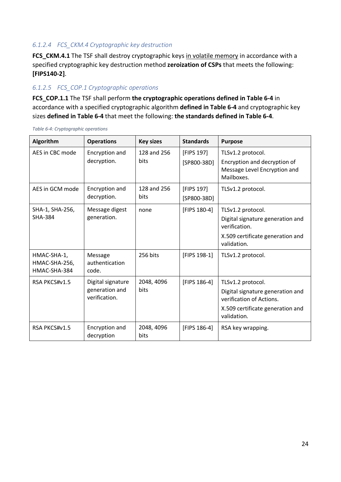# *6.1.2.4 FCS\_CKM.4 Cryptographic key destruction*

FCS CKM.4.1 The TSF shall destroy cryptographic keys in volatile memory in accordance with a specified cryptographic key destruction method **zeroization of CSPs** that meets the following: **[FIPS140-2]**.

# *6.1.2.5 FCS\_COP.1 Cryptographic operations*

**FCS\_COP.1.1** The TSF shall perform **the cryptographic operations defined in Table 6-4** in accordance with a specified cryptographic algorithm **defined in Table 6-4** and cryptographic key sizes **defined in Table 6-4** that meet the following: **the standards defined in Table 6-4**.

| Algorithm                                    | <b>Operations</b>                                    | <b>Key sizes</b>    | <b>Standards</b>            | <b>Purpose</b>                                                                                                                       |
|----------------------------------------------|------------------------------------------------------|---------------------|-----------------------------|--------------------------------------------------------------------------------------------------------------------------------------|
| AES in CBC mode                              | Encryption and<br>decryption.                        | 128 and 256<br>bits | [FIPS 197]<br>$[SP800-38D]$ | TLSv1.2 protocol.<br>Encryption and decryption of<br>Message Level Encryption and<br>Mailboxes.                                      |
| AES in GCM mode                              | Encryption and<br>decryption.                        | 128 and 256<br>bits | [FIPS 197]<br>$[SP800-38D]$ | TLSv1.2 protocol.                                                                                                                    |
| SHA-1, SHA-256,<br><b>SHA-384</b>            | Message digest<br>generation.                        | none                | [FIPS 180-4]                | TLSv1.2 protocol.<br>Digital signature generation and<br>verification.<br>X.509 certificate generation and<br>validation.            |
| HMAC-SHA-1,<br>HMAC-SHA-256,<br>HMAC-SHA-384 | Message<br>authentication<br>code.                   | 256 bits            | [FIPS 198-1]                | TLSv1.2 protocol.                                                                                                                    |
| RSA PKCS#v1.5                                | Digital signature<br>generation and<br>verification. | 2048, 4096<br>bits  | [FIPS 186-4]                | TLSv1.2 protocol.<br>Digital signature generation and<br>verification of Actions.<br>X.509 certificate generation and<br>validation. |
| RSA PKCS#v1.5                                | Encryption and<br>decryption                         | 2048, 4096<br>bits  | [FIPS 186-4]                | RSA key wrapping.                                                                                                                    |

*Table 6-4: Cryptographic operations*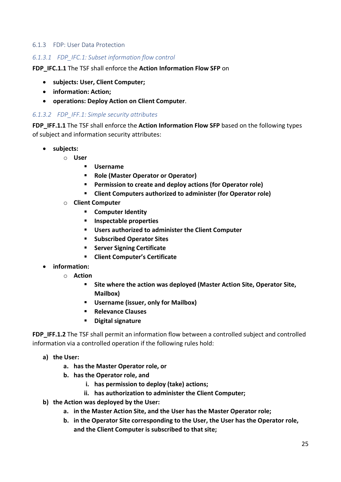#### 6.1.3 FDP: User Data Protection

#### *6.1.3.1 FDP\_IFC.1: Subset information flow control*

#### **FDP\_IFC.1.1** The TSF shall enforce the **Action Information Flow SFP** on

- **subjects: User, Client Computer;**
- **information: Action;**
- **operations: Deploy Action on Client Computer**.

#### *6.1.3.2 FDP\_IFF.1: Simple security attributes*

**FDP\_IFF.1.1** The TSF shall enforce the **Action Information Flow SFP** based on the following types of subject and information security attributes:

- **subjects:**
	- o **User** 
		- § **Username**
		- § **Role (Master Operator or Operator)**
		- **Permission to create and deploy actions (for Operator role)**
		- Client Computers authorized to administer (for Operator role)
	- o **Client Computer**
		- § **Computer Identity**
		- § **Inspectable properties**
		- § **Users authorized to administer the Client Computer**
		- § **Subscribed Operator Sites**
		- § **Server Signing Certificate**
		- § **Client Computer's Certificate**
- **information:**
	- o **Action**
		- § **Site where the action was deployed (Master Action Site, Operator Site, Mailbox)**
		- § **Username (issuer, only for Mailbox)**
		- § **Relevance Clauses**
		- § **Digital signature**

FDP IFF.1.2 The TSF shall permit an information flow between a controlled subject and controlled information via a controlled operation if the following rules hold:

- **a) the User:**
	- **a. has the Master Operator role, or**
	- **b. has the Operator role, and** 
		- **i. has permission to deploy (take) actions;**
		- **ii. has authorization to administer the Client Computer;**
- **b) the Action was deployed by the User:**
	- **a. in the Master Action Site, and the User has the Master Operator role;**
	- **b. in the Operator Site corresponding to the User, the User has the Operator role, and the Client Computer is subscribed to that site;**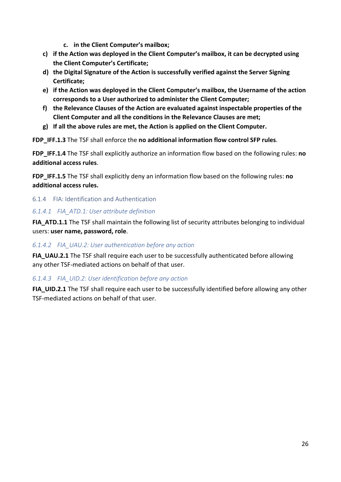- **c. in the Client Computer's mailbox;**
- **c) if the Action was deployed in the Client Computer's mailbox, it can be decrypted using the Client Computer's Certificate;**
- **d) the Digital Signature of the Action is successfully verified against the Server Signing Certificate;**
- **e) if the Action was deployed in the Client Computer's mailbox, the Username of the action corresponds to a User authorized to administer the Client Computer;**
- **f) the Relevance Clauses of the Action are evaluated against inspectable properties of the Client Computer and all the conditions in the Relevance Clauses are met;**
- **g) If all the above rules are met, the Action is applied on the Client Computer.**

**FDP\_IFF.1.3** The TSF shall enforce the **no additional information flow control SFP rules**.

**FDP\_IFF.1.4** The TSF shall explicitly authorize an information flow based on the following rules: **no additional access rules**.

**FDP\_IFF.1.5** The TSF shall explicitly deny an information flow based on the following rules: **no additional access rules.**

6.1.4 FIA: Identification and Authentication

# *6.1.4.1 FIA\_ATD.1: User attribute definition*

FIA ATD.1.1 The TSF shall maintain the following list of security attributes belonging to individual users: **user name, password, role**.

# *6.1.4.2 FIA\_UAU.2: User authentication before any action*

**FIA\_UAU.2.1** The TSF shall require each user to be successfully authenticated before allowing any other TSF-mediated actions on behalf of that user.

# *6.1.4.3 FIA\_UID.2: User identification before any action*

**FIA UID.2.1** The TSF shall require each user to be successfully identified before allowing any other TSF-mediated actions on behalf of that user.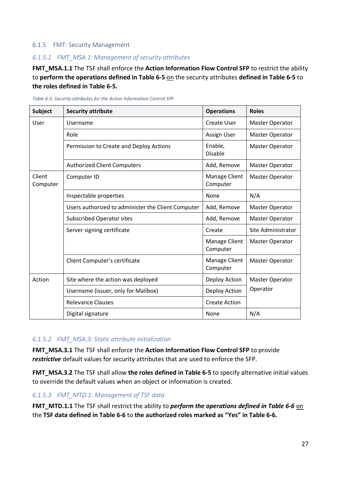#### 6.1.5 FMT: Security Management

# *6.1.5.1 FMT\_MSA.1: Management of security attributes*

FMT\_MSA.1.1 The TSF shall enforce the Action Information Flow Control SFP to restrict the ability to **perform the operations defined in Table 6-5** on the security attributes **defined in Table 6-5** to **the roles defined in Table 6-5.**

| <b>Subject</b>     | <b>Security attribute</b>                          | <b>Operations</b>         | <b>Roles</b>           |
|--------------------|----------------------------------------------------|---------------------------|------------------------|
| User               | Username                                           | Create User               | <b>Master Operator</b> |
|                    | Role                                               | Assign User               | Master Operator        |
|                    | Permission to Create and Deploy Actions            | Enable,<br><b>Disable</b> | <b>Master Operator</b> |
|                    | <b>Authorized Client Computers</b>                 | Add, Remove               | <b>Master Operator</b> |
| Client<br>Computer | Computer ID                                        | Manage Client<br>Computer | <b>Master Operator</b> |
|                    | Inspectable properties                             | None                      | N/A                    |
|                    | Users authorized to administer the Client Computer | Add, Remove               | Master Operator        |
|                    | <b>Subscribed Operator sites</b>                   | Add, Remove               | <b>Master Operator</b> |
|                    | Server signing certificate                         | Create                    | Site Administrator     |
|                    |                                                    | Manage Client<br>Computer | <b>Master Operator</b> |
|                    | Client Computer's certificate                      | Manage Client<br>Computer | <b>Master Operator</b> |
| Action             | Site where the action was deployed                 | Deploy Action             | <b>Master Operator</b> |
|                    | Username (issuer, only for Mailbox)                | Deploy Action             | Operator               |
|                    | <b>Relevance Clauses</b>                           | <b>Create Action</b>      |                        |
|                    | Digital signature                                  | None                      | N/A                    |

*Table 6-5: Security attributes for the Action Information Control SFP*

#### *6.1.5.2 FMT\_MSA.3: Static attribute initialization*

**FMT\_MSA.3.1** The TSF shall enforce the **Action Information Flow Control SFP** to provide *restrictive* default values for security attributes that are used to enforce the SFP.

**FMT\_MSA.3.2** The TSF shall allow the roles defined in Table 6-5 to specify alternative initial values to override the default values when an object or information is created.

#### *6.1.5.3 FMT\_MTD.1: Management of TSF data*

**FMT\_MTD.1.1** The TSF shall restrict the ability to *perform the operations defined in Table 6-6* on the **TSF data defined in Table 6-6** to **the authorized roles marked as "Yes" in Table 6-6.**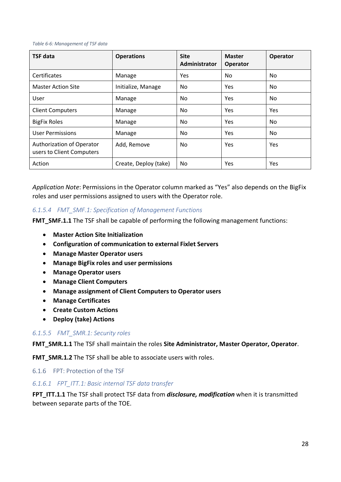#### *Table 6-6: Management of TSF data*

| <b>TSF data</b>                                        | <b>Operations</b>     | <b>Site</b><br>Administrator | <b>Master</b><br>Operator | Operator |
|--------------------------------------------------------|-----------------------|------------------------------|---------------------------|----------|
| Certificates                                           | Manage                | <b>Yes</b>                   | No.                       | No.      |
| <b>Master Action Site</b>                              | Initialize, Manage    | No                           | <b>Yes</b>                | No.      |
| User                                                   | Manage                | No                           | <b>Yes</b>                | No.      |
| <b>Client Computers</b>                                | Manage                | No                           | <b>Yes</b>                | Yes      |
| <b>BigFix Roles</b>                                    | Manage                | No                           | Yes                       | No.      |
| <b>User Permissions</b>                                | Manage                | No                           | <b>Yes</b>                | No.      |
| Authorization of Operator<br>users to Client Computers | Add, Remove           | <b>No</b>                    | Yes                       | Yes      |
| Action                                                 | Create, Deploy (take) | No                           | Yes                       | Yes      |

*Application Note*: Permissions in the Operator column marked as "Yes" also depends on the BigFix roles and user permissions assigned to users with the Operator role.

#### *6.1.5.4 FMT\_SMF.1: Specification of Management Functions*

**FMT\_SMF.1.1** The TSF shall be capable of performing the following management functions:

- **Master Action Site Initialization**
- **Configuration of communication to external Fixlet Servers**
- **Manage Master Operator users**
- **Manage BigFix roles and user permissions**
- **Manage Operator users**
- **Manage Client Computers**
- **Manage assignment of Client Computers to Operator users**
- **Manage Certificates**
- **Create Custom Actions**
- **Deploy (take) Actions**

#### *6.1.5.5 FMT\_SMR.1: Security roles*

**FMT\_SMR.1.1** The TSF shall maintain the roles **Site Administrator, Master Operator, Operator**.

**FMT\_SMR.1.2** The TSF shall be able to associate users with roles.

6.1.6 FPT: Protection of the TSF

#### *6.1.6.1 FPT\_ITT.1: Basic internal TSF data transfer*

**FPT\_ITT.1.1** The TSF shall protect TSF data from *disclosure, modification* when it is transmitted between separate parts of the TOE.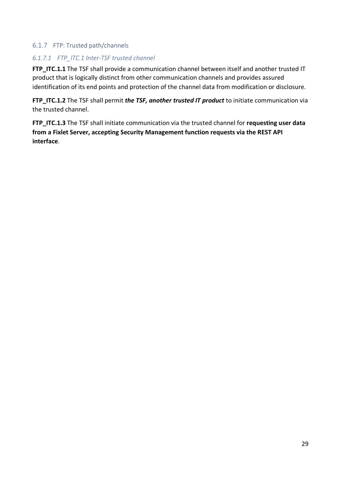# 6.1.7 FTP: Trusted path/channels

# *6.1.7.1 FTP\_ITC.1 Inter-TSF trusted channel*

FTP ITC.1.1 The TSF shall provide a communication channel between itself and another trusted IT product that is logically distinct from other communication channels and provides assured identification of its end points and protection of the channel data from modification or disclosure.

**FTP\_ITC.1.2** The TSF shall permit *the TSF, another trusted IT product* to initiate communication via the trusted channel.

**FTP** ITC.1.3 The TSF shall initiate communication via the trusted channel for *requesting user data* **from a Fixlet Server, accepting Security Management function requests via the REST API interface**.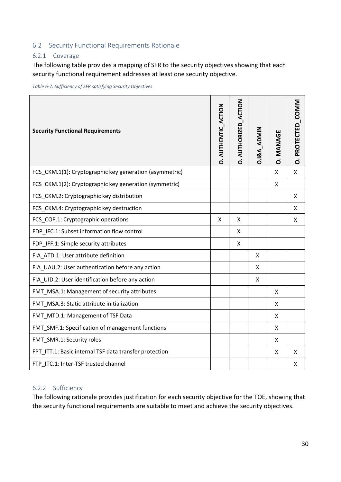# 6.2 Security Functional Requirements Rationale

# 6.2.1 Coverage

The following table provides a mapping of SFR to the security objectives showing that each security functional requirement addresses at least one security objective.

*Table 6-7: Sufficiency of SFR satisfying Security Objectives*

| <b>Security Functional Requirements</b>                 | <b>D. AUTHENTIC ACTION</b> | <b>D. AUTHORIZED_ACTION</b> | 0.1&A_ADMIN | <b>D. MANAGE</b> | O. PROTECTED_COMM |
|---------------------------------------------------------|----------------------------|-----------------------------|-------------|------------------|-------------------|
| FCS_CKM.1(1): Cryptographic key generation (asymmetric) |                            |                             |             | X                | X                 |
| FCS_CKM.1(2): Cryptographic key generation (symmetric)  |                            |                             |             | Χ                |                   |
| FCS_CKM.2: Cryptographic key distribution               |                            |                             |             |                  | X                 |
| FCS_CKM.4: Cryptographic key destruction                |                            |                             |             |                  | X                 |
| FCS_COP.1: Cryptographic operations                     | X                          | X                           |             |                  | X                 |
| FDP_IFC.1: Subset information flow control              |                            | X                           |             |                  |                   |
| FDP_IFF.1: Simple security attributes                   |                            | X                           |             |                  |                   |
| FIA ATD.1: User attribute definition                    |                            |                             | X           |                  |                   |
| FIA_UAU.2: User authentication before any action        |                            |                             | Χ           |                  |                   |
| FIA_UID.2: User identification before any action        |                            |                             | Χ           |                  |                   |
| FMT_MSA.1: Management of security attributes            |                            |                             |             | X                |                   |
| FMT_MSA.3: Static attribute initialization              |                            |                             |             | X                |                   |
| FMT_MTD.1: Management of TSF Data                       |                            |                             |             | x                |                   |
| FMT_SMF.1: Specification of management functions        |                            |                             |             | X                |                   |
| FMT_SMR.1: Security roles                               |                            |                             |             | X                |                   |
| FPT ITT.1: Basic internal TSF data transfer protection  |                            |                             |             | X                | X                 |
| FTP_ITC.1: Inter-TSF trusted channel                    |                            |                             |             |                  | X                 |

#### 6.2.2 Sufficiency

The following rationale provides justification for each security objective for the TOE, showing that the security functional requirements are suitable to meet and achieve the security objectives.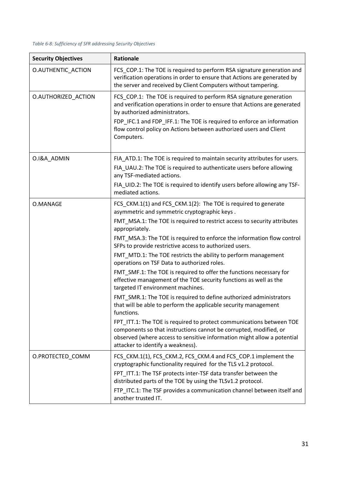| <b>Security Objectives</b> | Rationale                                                                                                                                                                                                                                                                                                                                                                                                                                                                                                                                                                                                                                                                                                                                                                                                                                                                                                                                                                                                                                                               |
|----------------------------|-------------------------------------------------------------------------------------------------------------------------------------------------------------------------------------------------------------------------------------------------------------------------------------------------------------------------------------------------------------------------------------------------------------------------------------------------------------------------------------------------------------------------------------------------------------------------------------------------------------------------------------------------------------------------------------------------------------------------------------------------------------------------------------------------------------------------------------------------------------------------------------------------------------------------------------------------------------------------------------------------------------------------------------------------------------------------|
| <b>O.AUTHENTIC ACTION</b>  | FCS_COP.1: The TOE is required to perform RSA signature generation and<br>verification operations in order to ensure that Actions are generated by<br>the server and received by Client Computers without tampering.                                                                                                                                                                                                                                                                                                                                                                                                                                                                                                                                                                                                                                                                                                                                                                                                                                                    |
| O.AUTHORIZED_ACTION        | FCS_COP.1: The TOE is required to perform RSA signature generation<br>and verification operations in order to ensure that Actions are generated<br>by authorized administrators.<br>FDP IFC.1 and FDP IFF.1: The TOE is required to enforce an information<br>flow control policy on Actions between authorized users and Client<br>Computers.                                                                                                                                                                                                                                                                                                                                                                                                                                                                                                                                                                                                                                                                                                                          |
| O.I&A_ADMIN                | FIA_ATD.1: The TOE is required to maintain security attributes for users.<br>FIA_UAU.2: The TOE is required to authenticate users before allowing<br>any TSF-mediated actions.<br>FIA_UID.2: The TOE is required to identify users before allowing any TSF-<br>mediated actions.                                                                                                                                                                                                                                                                                                                                                                                                                                                                                                                                                                                                                                                                                                                                                                                        |
| O.MANAGE                   | FCS_CKM.1(1) and FCS_CKM.1(2): The TOE is required to generate<br>asymmetric and symmetric cryptographic keys.<br>FMT_MSA.1: The TOE is required to restrict access to security attributes<br>appropriately.<br>FMT_MSA.3: The TOE is required to enforce the information flow control<br>SFPs to provide restrictive access to authorized users.<br>FMT_MTD.1: The TOE restricts the ability to perform management<br>operations on TSF Data to authorized roles.<br>FMT_SMF.1: The TOE is required to offer the functions necessary for<br>effective management of the TOE security functions as well as the<br>targeted IT environment machines.<br>FMT_SMR.1: The TOE is required to define authorized administrators<br>that will be able to perform the applicable security management<br>functions.<br>FPT_ITT.1: The TOE is required to protect communications between TOE<br>components so that instructions cannot be corrupted, modified, or<br>observed (where access to sensitive information might allow a potential<br>attacker to identify a weakness). |
| O.PROTECTED_COMM           | FCS_CKM.1(1), FCS_CKM.2, FCS_CKM.4 and FCS_COP.1 implement the<br>cryptographic functionality required for the TLS v1.2 protocol.<br>FPT_ITT.1: The TSF protects inter-TSF data transfer between the<br>distributed parts of the TOE by using the TLSv1.2 protocol.<br>FTP_ITC.1: The TSF provides a communication channel between itself and<br>another trusted IT.                                                                                                                                                                                                                                                                                                                                                                                                                                                                                                                                                                                                                                                                                                    |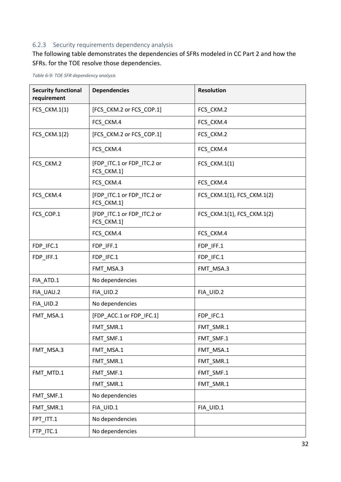# 6.2.3 Security requirements dependency analysis

The following table demonstrates the dependencies of SFRs modeled in CC Part 2 and how the SFRs. for the TOE resolve those dependencies.

| <b>Security functional</b><br>requirement | <b>Dependencies</b>                      | <b>Resolution</b>          |
|-------------------------------------------|------------------------------------------|----------------------------|
| FCS_CKM.1(1)                              | [FCS_CKM.2 or FCS_COP.1]                 | FCS_CKM.2                  |
|                                           | FCS_CKM.4                                | FCS_CKM.4                  |
| FCS_CKM.1(2)                              | [FCS_CKM.2 or FCS_COP.1]                 | FCS_CKM.2                  |
|                                           | FCS CKM.4                                | FCS_CKM.4                  |
| FCS CKM.2                                 | [FDP_ITC.1 or FDP_ITC.2 or<br>FCS_CKM.1] | FCS_CKM.1(1)               |
|                                           | FCS_CKM.4                                | FCS_CKM.4                  |
| FCS_CKM.4                                 | [FDP_ITC.1 or FDP_ITC.2 or<br>FCS_CKM.1] | FCS_CKM.1(1), FCS_CKM.1(2) |
| FCS_COP.1                                 | [FDP_ITC.1 or FDP_ITC.2 or<br>FCS_CKM.1] | FCS_CKM.1(1), FCS_CKM.1(2) |
|                                           | FCS CKM.4                                | FCS_CKM.4                  |
| FDP_IFC.1                                 | FDP_IFF.1                                | FDP_IFF.1                  |
| FDP_IFF.1                                 | FDP_IFC.1                                | FDP_IFC.1                  |
|                                           | FMT_MSA.3                                | FMT_MSA.3                  |
| FIA_ATD.1                                 | No dependencies                          |                            |
| FIA_UAU.2                                 | FIA_UID.2                                | FIA_UID.2                  |
| FIA_UID.2                                 | No dependencies                          |                            |
| FMT_MSA.1                                 | [FDP_ACC.1 or FDP_IFC.1]                 | FDP_IFC.1                  |
|                                           | FMT_SMR.1                                | FMT_SMR.1                  |
|                                           | FMT_SMF.1                                | FMT_SMF.1                  |
| FMT_MSA.3                                 | FMT_MSA.1                                | FMT_MSA.1                  |
|                                           | FMT_SMR.1                                | FMT_SMR.1                  |
| FMT_MTD.1                                 | FMT_SMF.1                                | FMT_SMF.1                  |
|                                           | FMT_SMR.1                                | FMT_SMR.1                  |
| FMT_SMF.1                                 | No dependencies                          |                            |
| FMT_SMR.1                                 | FIA_UID.1                                | FIA_UID.1                  |
| FPT_ITT.1                                 | No dependencies                          |                            |
| FTP_ITC.1                                 | No dependencies                          |                            |

*Table 6-9: TOE SFR dependency analysis*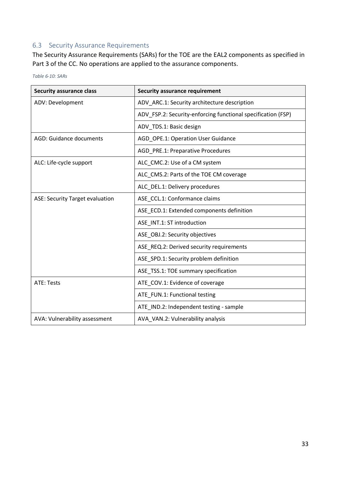# 6.3 Security Assurance Requirements

The Security Assurance Requirements (SARs) for the TOE are the EAL2 components as specified in Part 3 of the CC. No operations are applied to the assurance components.

| <b>Security assurance class</b> | <b>Security assurance requirement</b>                        |
|---------------------------------|--------------------------------------------------------------|
| ADV: Development                | ADV ARC.1: Security architecture description                 |
|                                 | ADV FSP.2: Security-enforcing functional specification (FSP) |
|                                 | ADV_TDS.1: Basic design                                      |
| <b>AGD: Guidance documents</b>  | AGD_OPE.1: Operation User Guidance                           |
|                                 | AGD_PRE.1: Preparative Procedures                            |
| ALC: Life-cycle support         | ALC_CMC.2: Use of a CM system                                |
|                                 | ALC_CMS.2: Parts of the TOE CM coverage                      |
|                                 | ALC_DEL.1: Delivery procedures                               |
| ASE: Security Target evaluation | ASE_CCL.1: Conformance claims                                |
|                                 | ASE_ECD.1: Extended components definition                    |
|                                 | ASE_INT.1: ST introduction                                   |
|                                 | ASE OBJ.2: Security objectives                               |
|                                 | ASE REQ.2: Derived security requirements                     |
|                                 | ASE_SPD.1: Security problem definition                       |
|                                 | ASE TSS.1: TOE summary specification                         |
| ATE: Tests                      | ATE_COV.1: Evidence of coverage                              |
|                                 | ATE_FUN.1: Functional testing                                |
|                                 | ATE_IND.2: Independent testing - sample                      |
| AVA: Vulnerability assessment   | AVA VAN.2: Vulnerability analysis                            |

*Table 6-10: SARs*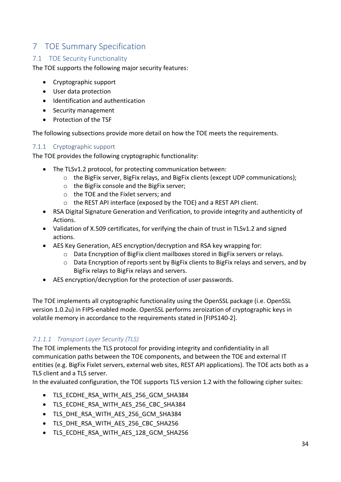# 7 TOE Summary Specification

# 7.1 TOE Security Functionality

The TOE supports the following major security features:

- Cryptographic support
- User data protection
- Identification and authentication
- Security management
- Protection of the TSF

The following subsections provide more detail on how the TOE meets the requirements.

# 7.1.1 Cryptographic support

The TOE provides the following cryptographic functionality:

- The TLSv1.2 protocol, for protecting communication between:
	- o the BigFix server, BigFix relays, and BigFix clients (except UDP communications);
	- o the BigFix console and the BigFix server;
	- o the TOE and the Fixlet servers; and
	- o the REST API interface (exposed by the TOE) and a REST API client.
- RSA Digital Signature Generation and Verification, to provide integrity and authenticity of Actions.
- Validation of X.509 certificates, for verifying the chain of trust in TLSv1.2 and signed actions.
- AES Key Generation, AES encryption/decryption and RSA key wrapping for:
	- o Data Encryption of BigFix client mailboxes stored in BigFix servers or relays.
	- o Data Encryption of reports sent by BigFix clients to BigFix relays and servers, and by BigFix relays to BigFix relays and servers.
- AES encryption/decryption for the protection of user passwords.

The TOE implements all cryptographic functionality using the OpenSSL package (i.e. OpenSSL version 1.0.2u) in FIPS-enabled mode. OpenSSL performs zeroization of cryptographic keys in volatile memory in accordance to the requirements stated in [FIPS140-2].

# *7.1.1.1 Transport Layer Security (TLS)*

The TOE implements the TLS protocol for providing integrity and confidentiality in all communication paths between the TOE components, and between the TOE and external IT entities (e.g. BigFix Fixlet servers, external web sites, REST API applications). The TOE acts both as a TLS client and a TLS server.

In the evaluated configuration, the TOE supports TLS version 1.2 with the following cipher suites:

- TLS ECDHE\_RSA\_WITH\_AES\_256\_GCM\_SHA384
- TLS\_ECDHE\_RSA\_WITH\_AES\_256\_CBC\_SHA384
- TLS\_DHE\_RSA\_WITH\_AES\_256\_GCM\_SHA384
- TLS DHE\_RSA\_WITH\_AES\_256\_CBC\_SHA256
- TLS\_ECDHE\_RSA\_WITH\_AES\_128\_GCM\_SHA256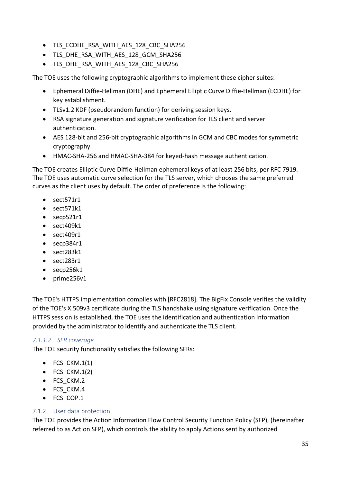- TLS ECDHE\_RSA\_WITH\_AES\_128\_CBC\_SHA256
- TLS DHE\_RSA\_WITH\_AES\_128\_GCM\_SHA256
- TLS\_DHE\_RSA\_WITH\_AES\_128\_CBC\_SHA256

The TOE uses the following cryptographic algorithms to implement these cipher suites:

- Ephemeral Diffie-Hellman (DHE) and Ephemeral Elliptic Curve Diffie-Hellman (ECDHE) for key establishment.
- TLSv1.2 KDF (pseudorandom function) for deriving session keys.
- RSA signature generation and signature verification for TLS client and server authentication.
- AES 128-bit and 256-bit cryptographic algorithms in GCM and CBC modes for symmetric cryptography.
- HMAC-SHA-256 and HMAC-SHA-384 for keyed-hash message authentication.

The TOE creates Elliptic Curve Diffie-Hellman ephemeral keys of at least 256 bits, per RFC 7919. The TOE uses automatic curve selection for the TLS server, which chooses the same preferred curves as the client uses by default. The order of preference is the following:

- sect571r1
- sect571k1
- secp521r1
- sect409k1
- sect409r1
- secp384r1
- sect283k1
- sect283r1
- secp256k1
- prime256v1

The TOE's HTTPS implementation complies with [RFC2818]. The BigFix Console verifies the validity of the TOE's X.509v3 certificate during the TLS handshake using signature verification. Once the HTTPS session is established, the TOE uses the identification and authentication information provided by the administrator to identify and authenticate the TLS client.

# *7.1.1.2 SFR coverage*

The TOE security functionality satisfies the following SFRs:

- $\bullet$  FCS CKM.1(1)
- $\bullet$  FCS CKM.1(2)
- FCS CKM.2
- FCS CKM.4
- FCS COP.1

# 7.1.2 User data protection

The TOE provides the Action Information Flow Control Security Function Policy (SFP), (hereinafter referred to as Action SFP), which controls the ability to apply Actions sent by authorized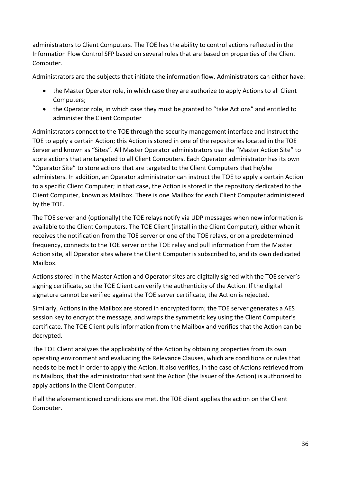administrators to Client Computers. The TOE has the ability to control actions reflected in the Information Flow Control SFP based on several rules that are based on properties of the Client Computer.

Administrators are the subjects that initiate the information flow. Administrators can either have:

- the Master Operator role, in which case they are authorize to apply Actions to all Client Computers;
- the Operator role, in which case they must be granted to "take Actions" and entitled to administer the Client Computer

Administrators connect to the TOE through the security management interface and instruct the TOE to apply a certain Action; this Action is stored in one of the repositories located in the TOE Server and known as "Sites". All Master Operator administrators use the "Master Action Site" to store actions that are targeted to all Client Computers. Each Operator administrator has its own "Operator Site" to store actions that are targeted to the Client Computers that he/she administers. In addition, an Operator administrator can instruct the TOE to apply a certain Action to a specific Client Computer; in that case, the Action is stored in the repository dedicated to the Client Computer, known as Mailbox. There is one Mailbox for each Client Computer administered by the TOE.

The TOE server and (optionally) the TOE relays notify via UDP messages when new information is available to the Client Computers. The TOE Client (install in the Client Computer), either when it receives the notification from the TOE server or one of the TOE relays, or on a predetermined frequency, connects to the TOE server or the TOE relay and pull information from the Master Action site, all Operator sites where the Client Computer is subscribed to, and its own dedicated Mailbox.

Actions stored in the Master Action and Operator sites are digitally signed with the TOE server's signing certificate, so the TOE Client can verify the authenticity of the Action. If the digital signature cannot be verified against the TOE server certificate, the Action is rejected.

Similarly, Actions in the Mailbox are stored in encrypted form; the TOE server generates a AES session key to encrypt the message, and wraps the symmetric key using the Client Computer's certificate. The TOE Client pulls information from the Mailbox and verifies that the Action can be decrypted.

The TOE Client analyzes the applicability of the Action by obtaining properties from its own operating environment and evaluating the Relevance Clauses, which are conditions or rules that needs to be met in order to apply the Action. It also verifies, in the case of Actions retrieved from its Mailbox, that the administrator that sent the Action (the Issuer of the Action) is authorized to apply actions in the Client Computer.

If all the aforementioned conditions are met, the TOE client applies the action on the Client Computer.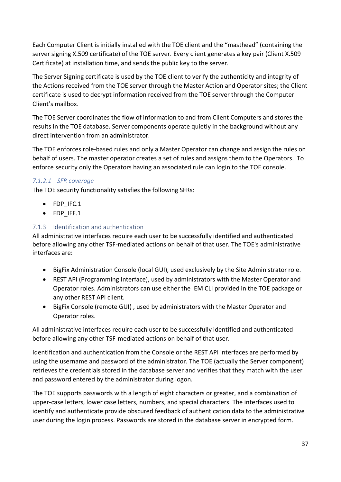Each Computer Client is initially installed with the TOE client and the "masthead" (containing the server signing X.509 certificate) of the TOE server. Every client generates a key pair (Client X.509 Certificate) at installation time, and sends the public key to the server.

The Server Signing certificate is used by the TOE client to verify the authenticity and integrity of the Actions received from the TOE server through the Master Action and Operator sites; the Client certificate is used to decrypt information received from the TOE server through the Computer Client's mailbox.

The TOE Server coordinates the flow of information to and from Client Computers and stores the results in the TOE database. Server components operate quietly in the background without any direct intervention from an administrator.

The TOE enforces role-based rules and only a Master Operator can change and assign the rules on behalf of users. The master operator creates a set of rules and assigns them to the Operators. To enforce security only the Operators having an associated rule can login to the TOE console.

# *7.1.2.1 SFR coverage*

The TOE security functionality satisfies the following SFRs:

- FDP\_IFC.1
- FDP\_IFF.1

# 7.1.3 Identification and authentication

All administrative interfaces require each user to be successfully identified and authenticated before allowing any other TSF-mediated actions on behalf of that user. The TOE's administrative interfaces are:

- BigFix Administration Console (local GUI), used exclusively by the Site Administrator role.
- REST API (Programming Interface), used by administrators with the Master Operator and Operator roles. Administrators can use either the IEM CLI provided in the TOE package or any other REST API client.
- BigFix Console (remote GUI) , used by administrators with the Master Operator and Operator roles.

All administrative interfaces require each user to be successfully identified and authenticated before allowing any other TSF-mediated actions on behalf of that user.

Identification and authentication from the Console or the REST API interfaces are performed by using the username and password of the administrator. The TOE (actually the Server component) retrieves the credentials stored in the database server and verifies that they match with the user and password entered by the administrator during logon.

The TOE supports passwords with a length of eight characters or greater, and a combination of upper-case letters, lower case letters, numbers, and special characters. The interfaces used to identify and authenticate provide obscured feedback of authentication data to the administrative user during the login process. Passwords are stored in the database server in encrypted form.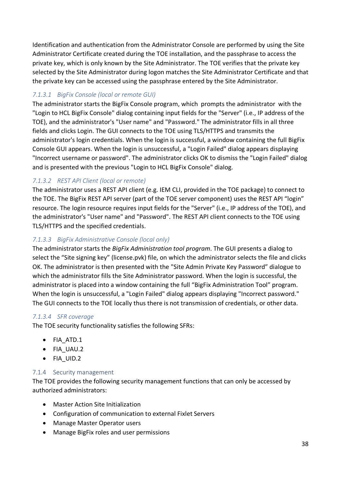Identification and authentication from the Administrator Console are performed by using the Site Administrator Certificate created during the TOE installation, and the passphrase to access the private key, which is only known by the Site Administrator. The TOE verifies that the private key selected by the Site Administrator during logon matches the Site Administrator Certificate and that the private key can be accessed using the passphrase entered by the Site Administrator.

# *7.1.3.1 BigFix Console (local or remote GUI)*

The administrator starts the BigFix Console program, which prompts the administrator with the "Login to HCL BigFix Console" dialog containing input fields for the "Server" (i.e., IP address of the TOE), and the administrator's "User name" and "Password." The administrator fills in all three fields and clicks Login. The GUI connects to the TOE using TLS/HTTPS and transmits the administrator's login credentials. When the login is successful, a window containing the full BigFix Console GUI appears. When the login is unsuccessful, a "Login Failed" dialog appears displaying "Incorrect username or password". The administrator clicks OK to dismiss the "Login Failed" dialog and is presented with the previous "Login to HCL BigFix Console" dialog.

# *7.1.3.2 REST API Client (local or remote)*

The administrator uses a REST API client (e.g. IEM CLI, provided in the TOE package) to connect to the TOE. The BigFix REST API server (part of the TOE server component) uses the REST API "login" resource. The login resource requires input fields for the "Server" (i.e., IP address of the TOE), and the administrator's "User name" and "Password". The REST API client connects to the TOE using TLS/HTTPS and the specified credentials.

# *7.1.3.3 BigFix Administrative Console (local only)*

The administrator starts the *BigFix Administration tool program*. The GUI presents a dialog to select the "Site signing key" (license.pvk) file, on which the administrator selects the file and clicks OK. The administrator is then presented with the "Site Admin Private Key Password" dialogue to which the administrator fills the Site Administrator password. When the login is successful, the administrator is placed into a window containing the full "BigFix Administration Tool" program. When the login is unsuccessful, a "Login Failed" dialog appears displaying "Incorrect password." The GUI connects to the TOE locally thus there is not transmission of credentials, or other data.

# *7.1.3.4 SFR coverage*

The TOE security functionality satisfies the following SFRs:

- FIA\_ATD.1
- FIA\_UAU.2
- FIA\_UID.2

#### 7.1.4 Security management

The TOE provides the following security management functions that can only be accessed by authorized administrators:

- Master Action Site Initialization
- Configuration of communication to external Fixlet Servers
- Manage Master Operator users
- Manage BigFix roles and user permissions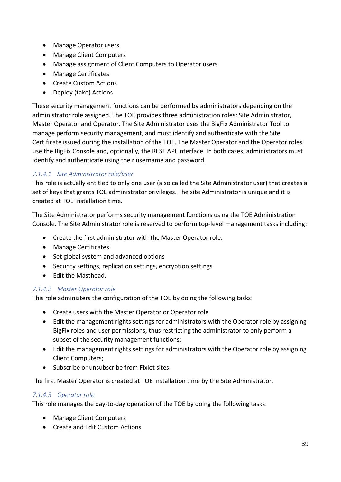- Manage Operator users
- Manage Client Computers
- Manage assignment of Client Computers to Operator users
- Manage Certificates
- Create Custom Actions
- Deploy (take) Actions

These security management functions can be performed by administrators depending on the administrator role assigned. The TOE provides three administration roles: Site Administrator, Master Operator and Operator. The Site Administrator uses the BigFix Administrator Tool to manage perform security management, and must identify and authenticate with the Site Certificate issued during the installation of the TOE. The Master Operator and the Operator roles use the BigFix Console and, optionally, the REST API interface. In both cases, administrators must identify and authenticate using their username and password.

# *7.1.4.1 Site Administrator role/user*

This role is actually entitled to only one user (also called the Site Administrator user) that creates a set of keys that grants TOE administrator privileges. The site Administrator is unique and it is created at TOE installation time.

The Site Administrator performs security management functions using the TOE Administration Console. The Site Administrator role is reserved to perform top-level management tasks including:

- Create the first administrator with the Master Operator role.
- Manage Certificates
- Set global system and advanced options
- Security settings, replication settings, encryption settings
- Edit the Masthead.

# *7.1.4.2 Master Operator role*

This role administers the configuration of the TOE by doing the following tasks:

- Create users with the Master Operator or Operator role
- Edit the management rights settings for administrators with the Operator role by assigning BigFix roles and user permissions, thus restricting the administrator to only perform a subset of the security management functions;
- Edit the management rights settings for administrators with the Operator role by assigning Client Computers;
- Subscribe or unsubscribe from Fixlet sites.

The first Master Operator is created at TOE installation time by the Site Administrator.

# *7.1.4.3 Operator role*

This role manages the day-to-day operation of the TOE by doing the following tasks:

- Manage Client Computers
- Create and Edit Custom Actions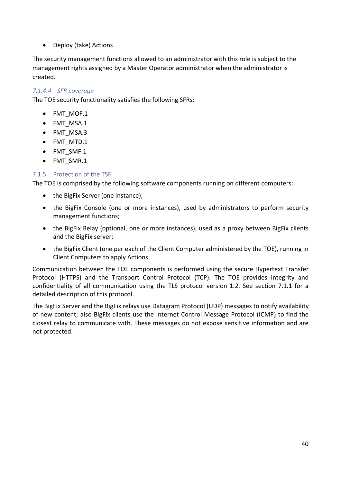• Deploy (take) Actions

The security management functions allowed to an administrator with this role is subject to the management rights assigned by a Master Operator administrator when the administrator is created.

# *7.1.4.4 SFR coverage*

The TOE security functionality satisfies the following SFRs:

- FMT\_MOF.1
- FMT\_MSA.1
- FMT\_MSA.3
- FMT\_MTD.1
- FMT\_SMF.1
- FMT\_SMR.1

# 7.1.5 Protection of the TSF

The TOE is comprised by the following software components running on different computers:

- the BigFix Server (one instance);
- the BigFix Console (one or more instances), used by administrators to perform security management functions;
- the BigFix Relay (optional, one or more instances), used as a proxy between BigFix clients and the BigFix server;
- the BigFix Client (one per each of the Client Computer administered by the TOE), running in Client Computers to apply Actions.

Communication between the TOE components is performed using the secure Hypertext Transfer Protocol (HTTPS) and the Transport Control Protocol (TCP). The TOE provides integrity and confidentiality of all communication using the TLS protocol version 1.2. See section 7.1.1 for a detailed description of this protocol.

The BigFix Server and the BigFix relays use Datagram Protocol (UDP) messages to notify availability of new content; also BigFix clients use the Internet Control Message Protocol (ICMP) to find the closest relay to communicate with. These messages do not expose sensitive information and are not protected.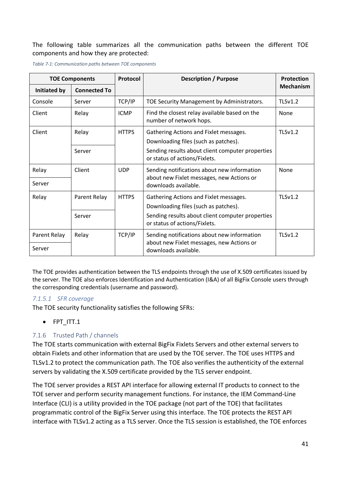#### The following table summarizes all the communication paths between the different TOE components and how they are protected:

| <b>TOE Components</b> |                     | Protocol     | <b>Description / Purpose</b>                                                      |                  |
|-----------------------|---------------------|--------------|-----------------------------------------------------------------------------------|------------------|
| Initiated by          | <b>Connected To</b> |              |                                                                                   | <b>Mechanism</b> |
| Console               | Server              | TCP/IP       | TOE Security Management by Administrators.                                        | TLSv1.2          |
| Client                | Relay               | <b>ICMP</b>  | Find the closest relay available based on the<br>number of network hops.          | None             |
| Client                | Relay               | <b>HTTPS</b> | Gathering Actions and Fixlet messages.<br>Downloading files (such as patches).    | <b>TLSv1.2</b>   |
|                       | Server              |              | Sending results about client computer properties<br>or status of actions/Fixlets. |                  |
| Relay                 | Client              | <b>UDP</b>   | Sending notifications about new information                                       | None             |
| Server                |                     |              | about new Fixlet messages, new Actions or<br>downloads available.                 |                  |
| Relay                 | Parent Relay        | <b>HTTPS</b> | Gathering Actions and Fixlet messages.<br>Downloading files (such as patches).    | TLSv1.2          |
|                       | Server              |              | Sending results about client computer properties<br>or status of actions/Fixlets. |                  |
| Parent Relay          | Relay               | TCP/IP       | Sending notifications about new information                                       | $TI$ Sv1.2       |
| Server                |                     |              | about new Fixlet messages, new Actions or<br>downloads available.                 |                  |

*Table 7-1: Communication paths between TOE components*

The TOE provides authentication between the TLS endpoints through the use of X.509 certificates issued by the server. The TOE also enforces Identification and Authentication (I&A) of all BigFix Console users through the corresponding credentials (username and password).

#### *7.1.5.1 SFR coverage*

The TOE security functionality satisfies the following SFRs:

• FPT\_ITT.1

# 7.1.6 Trusted Path / channels

The TOE starts communication with external BigFix Fixlets Servers and other external servers to obtain Fixlets and other information that are used by the TOE server. The TOE uses HTTPS and TLSv1.2 to protect the communication path. The TOE also verifies the authenticity of the external servers by validating the X.509 certificate provided by the TLS server endpoint.

The TOE server provides a REST API interface for allowing external IT products to connect to the TOE server and perform security management functions. For instance, the IEM Command-Line Interface (CLI) is a utility provided in the TOE package (not part of the TOE) that facilitates programmatic control of the BigFix Server using this interface. The TOE protects the REST API interface with TLSv1.2 acting as a TLS server. Once the TLS session is established, the TOE enforces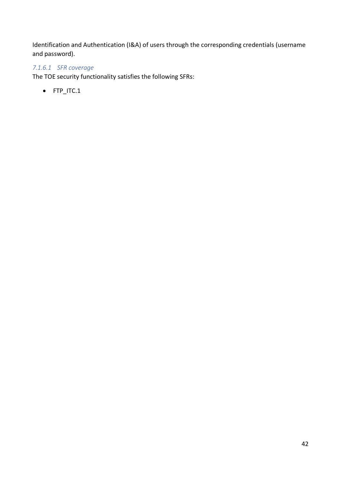Identification and Authentication (I&A) of users through the corresponding credentials (username and password).

# *7.1.6.1 SFR coverage*

The TOE security functionality satisfies the following SFRs:

• FTP\_ITC.1